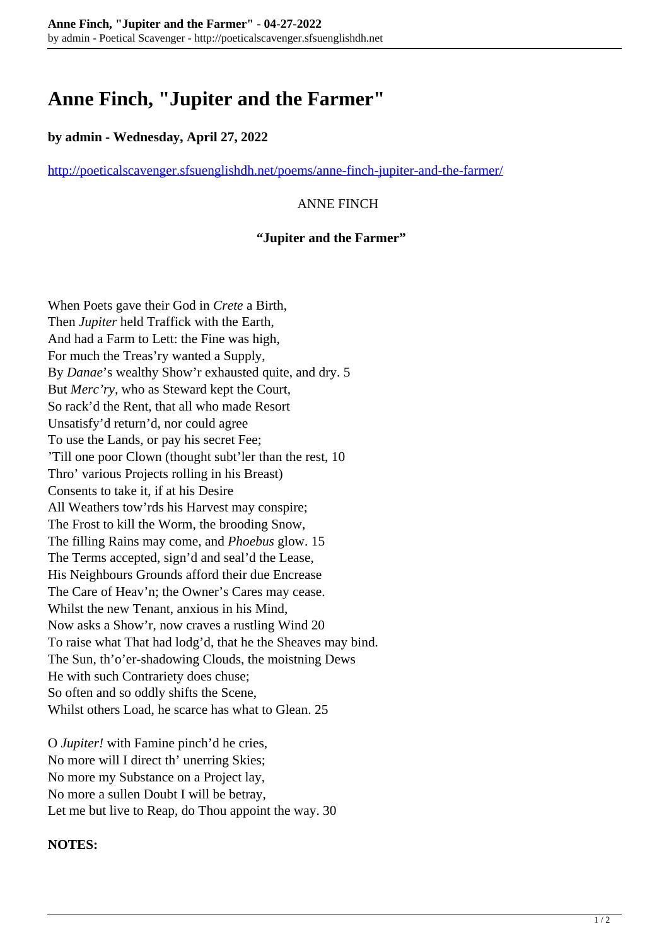# **Anne Finch, "Jupiter and the Farmer"**

## **by admin - Wednesday, April 27, 2022**

<http://poeticalscavenger.sfsuenglishdh.net/poems/anne-finch-jupiter-and-the-farmer/>

## ANNE FINCH

#### **"Jupiter and the Farmer"**

When Poets gave their God in *Crete* a Birth, Then *Jupiter* held Traffick with the Earth, And had a Farm to Lett: the Fine was high, For much the Treas'ry wanted a Supply, By *Danae*'s wealthy Show'r exhausted quite, and dry. 5 But *Merc'ry,* who as Steward kept the Court, So rack'd the Rent, that all who made Resort Unsatisfy'd return'd, nor could agree To use the Lands, or pay his secret Fee; 'Till one poor Clown (thought subt'ler than the rest, 10 Thro' various Projects rolling in his Breast) Consents to take it, if at his Desire All Weathers tow'rds his Harvest may conspire; The Frost to kill the Worm, the brooding Snow, The filling Rains may come, and *Phoebus* glow. 15 The Terms accepted, sign'd and seal'd the Lease, His Neighbours Grounds afford their due Encrease The Care of Heav'n; the Owner's Cares may cease. Whilst the new Tenant, anxious in his Mind, Now asks a Show'r, now craves a rustling Wind 20 To raise what That had lodg'd, that he the Sheaves may bind. The Sun, th'o'er-shadowing Clouds, the moistning Dews He with such Contrariety does chuse; So often and so oddly shifts the Scene, Whilst others Load, he scarce has what to Glean. 25

O *Jupiter!* with Famine pinch'd he cries, No more will I direct th' unerring Skies; No more my Substance on a Project lay, No more a sullen Doubt I will be betray, Let me but live to Reap, do Thou appoint the way. 30

#### **NOTES:**